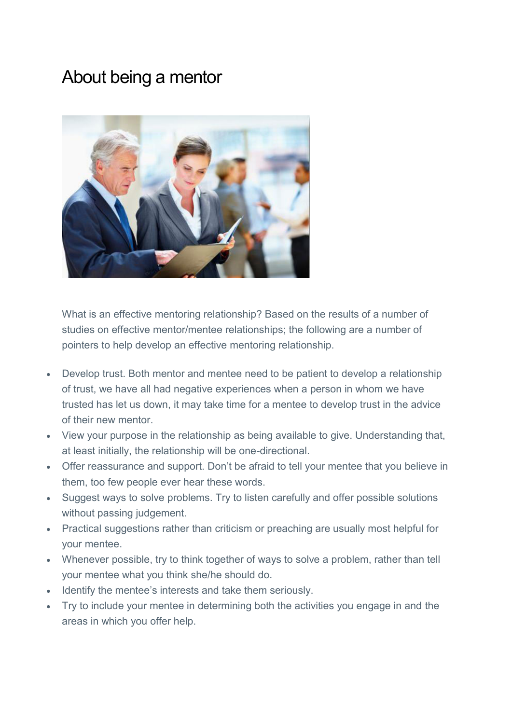## About being a mentor



What is an effective mentoring relationship? Based on the results of a number of studies on effective mentor/mentee relationships; the following are a number of pointers to help develop an effective mentoring relationship.

- Develop trust. Both mentor and mentee need to be patient to develop a relationship of trust, we have all had negative experiences when a person in whom we have trusted has let us down, it may take time for a mentee to develop trust in the advice of their new mentor.
- View your purpose in the relationship as being available to give. Understanding that, at least initially, the relationship will be one-directional.
- Offer reassurance and support. Don't be afraid to tell your mentee that you believe in them, too few people ever hear these words.
- Suggest ways to solve problems. Try to listen carefully and offer possible solutions without passing judgement.
- Practical suggestions rather than criticism or preaching are usually most helpful for your mentee.
- Whenever possible, try to think together of ways to solve a problem, rather than tell your mentee what you think she/he should do.
- Identify the mentee's interests and take them seriously.
- Try to include your mentee in determining both the activities you engage in and the areas in which you offer help.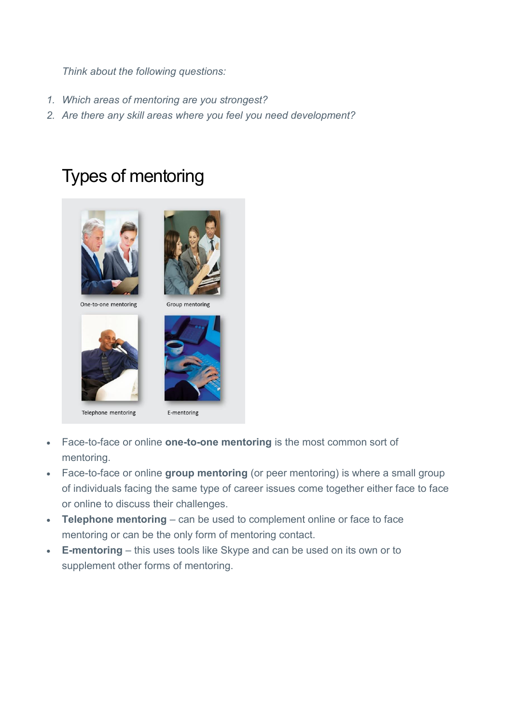- *1. Which areas of mentoring are you strongest?*
- *2. Are there any skill areas where you feel you need development?*

# Types of mentoring



One-to-one mentoring





Telephone mentoring

E-mentoring

- Face-to-face or online **one-to-one mentoring** is the most common sort of mentoring.
- Face-to-face or online **group mentoring** (or peer mentoring) is where a small group of individuals facing the same type of career issues come together either face to face or online to discuss their challenges.
- **Telephone mentoring** can be used to complement online or face to face mentoring or can be the only form of mentoring contact.
- **E-mentoring** this uses tools like Skype and can be used on its own or to supplement other forms of mentoring.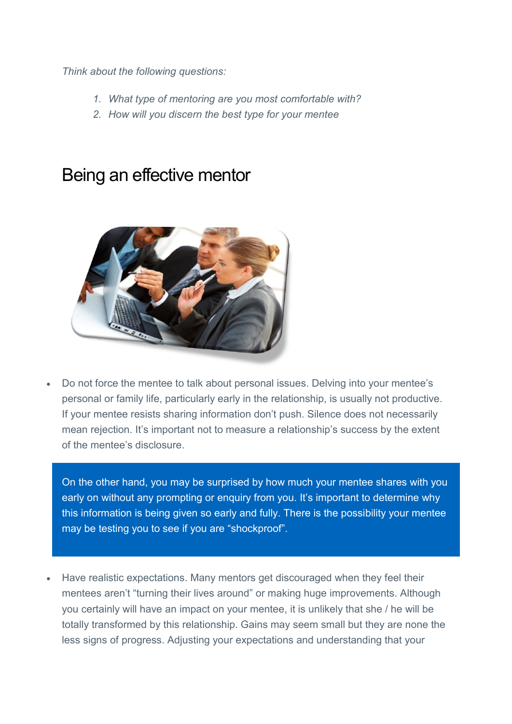- *1. What type of mentoring are you most comfortable with?*
- *2. How will you discern the best type for your mentee*

## Being an effective mentor



 Do not force the mentee to talk about personal issues. Delving into your mentee's personal or family life, particularly early in the relationship, is usually not productive. If your mentee resists sharing information don't push. Silence does not necessarily mean rejection. It's important not to measure a relationship's success by the extent of the mentee's disclosure.

 On the other hand, you may be surprised by how much your mentee shares with you early on without any prompting or enquiry from you. It's important to determine why this information is being given so early and fully. There is the possibility your mentee may be testing you to see if you are "shockproof".

 Have realistic expectations. Many mentors get discouraged when they feel their mentees aren't "turning their lives around" or making huge improvements. Although you certainly will have an impact on your mentee, it is unlikely that she / he will be totally transformed by this relationship. Gains may seem small but they are none the less signs of progress. Adjusting your expectations and understanding that your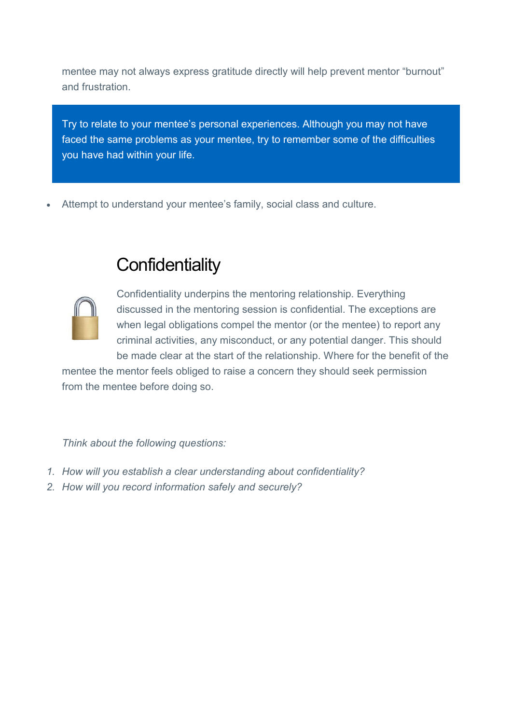mentee may not always express gratitude directly will help prevent mentor "burnout" and frustration.

 Try to relate to your mentee's personal experiences. Although you may not have faced the same problems as your mentee, try to remember some of the difficulties you have had within your life.

Attempt to understand your mentee's family, social class and culture.

# **Confidentiality**



Confidentiality underpins the mentoring relationship. Everything discussed in the mentoring session is confidential. The exceptions are when legal obligations compel the mentor (or the mentee) to report any criminal activities, any misconduct, or any potential danger. This should be made clear at the start of the relationship. Where for the benefit of the

mentee the mentor feels obliged to raise a concern they should seek permission from the mentee before doing so.

*Think about the following questions:* 

- *1. How will you establish a clear understanding about confidentiality?*
- *2. How will you record information safely and securely?*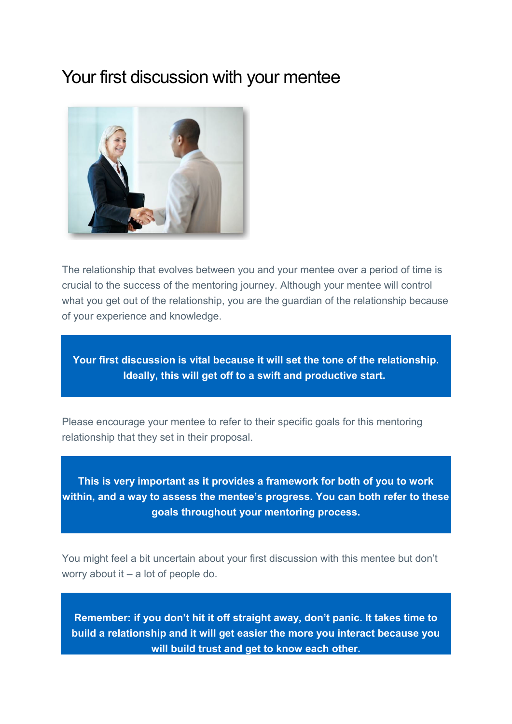#### Your first discussion with your mentee



The relationship that evolves between you and your mentee over a period of time is crucial to the success of the mentoring journey. Although your mentee will control what you get out of the relationship, you are the guardian of the relationship because of your experience and knowledge.

**Your first discussion is vital because it will set the tone of the relationship. Ideally, this will get off to a swift and productive start.** 

Please encourage your mentee to refer to their specific goals for this mentoring relationship that they set in their proposal.

**This is very important as it provides a framework for both of you to work within, and a way to assess the mentee's progress. You can both refer to these goals throughout your mentoring process.** 

You might feel a bit uncertain about your first discussion with this mentee but don't worry about it – a lot of people do.

**Remember: if you don't hit it off straight away, don't panic. It takes time to build a relationship and it will get easier the more you interact because you will build trust and get to know each other.**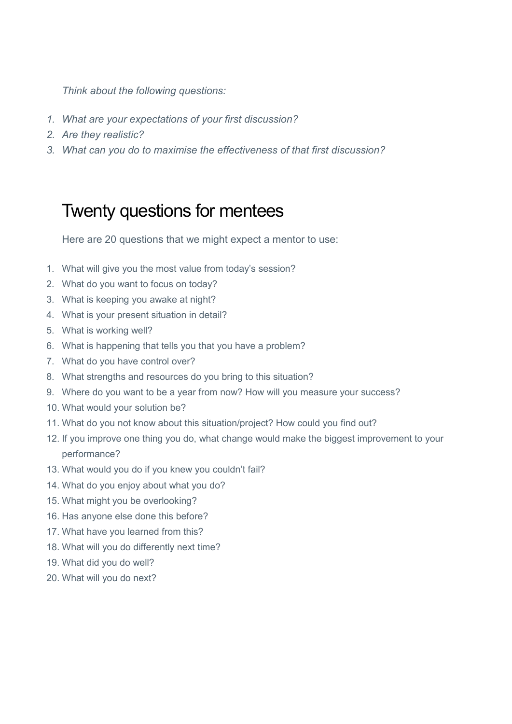- *1. What are your expectations of your first discussion?*
- *2. Are they realistic?*
- *3. What can you do to maximise the effectiveness of that first discussion?*

## Twenty questions for mentees

Here are 20 questions that we might expect a mentor to use:

- 1. What will give you the most value from today's session?
- 2. What do you want to focus on today?
- 3. What is keeping you awake at night?
- 4. What is your present situation in detail?
- 5. What is working well?
- 6. What is happening that tells you that you have a problem?
- 7. What do you have control over?
- 8. What strengths and resources do you bring to this situation?
- 9. Where do you want to be a year from now? How will you measure your success?
- 10. What would your solution be?
- 11. What do you not know about this situation/project? How could you find out?
- 12. If you improve one thing you do, what change would make the biggest improvement to your performance?
- 13. What would you do if you knew you couldn't fail?
- 14. What do you enjoy about what you do?
- 15. What might you be overlooking?
- 16. Has anyone else done this before?
- 17. What have you learned from this?
- 18. What will you do differently next time?
- 19. What did you do well?
- 20. What will you do next?